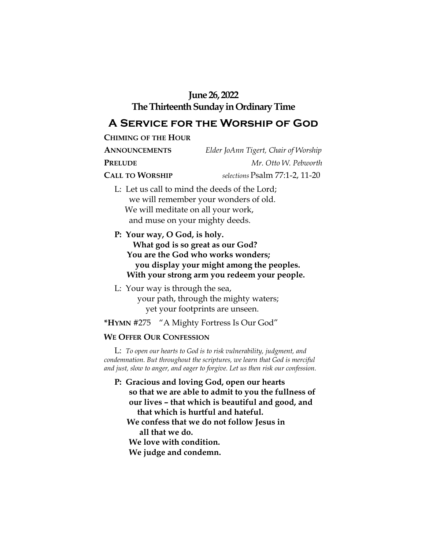## **June 26, 2022**

## **The Thirteenth Sunday in Ordinary Time**

# **A Service for the Worship of God**

**CHIMING OF THE HOUR**

| <b>ANNOUNCEMENTS</b>   | Elder JoAnn Tigert, Chair of Worship                  |
|------------------------|-------------------------------------------------------|
| <b>PRELUDE</b>         | Mr. Otto W. Pebworth                                  |
| <b>CALL TO WORSHIP</b> | selections Psalm 77:1-2, 11-20                        |
|                        | $I \cdot I$ of us call to mind the doods of the Lord. |

- L: Let us call to mind the deeds of the Lord; we will remember your wonders of old. We will meditate on all your work, and muse on your mighty deeds.
- **P: Your way, O God, is holy. What god is so great as our God? You are the God who works wonders; you display your might among the peoples. With your strong arm you redeem your people.**
- L: Your way is through the sea, your path, through the mighty waters; yet your footprints are unseen.

**\*HYMN** #275 "A Mighty Fortress Is Our God"

#### **WE OFFER OUR CONFESSION**

 L: *To open our hearts to God is to risk vulnerability, judgment, and condemnation. But throughout the scriptures, we learn that God is merciful and just, slow to anger, and eager to forgive. Let us then risk our confession.*

- **P: Gracious and loving God, open our hearts so that we are able to admit to you the fullness of our lives – that which is beautiful and good, and that which is hurtful and hateful. We confess that we do not follow Jesus in all that we do.**
	- **We love with condition.**
	- **We judge and condemn.**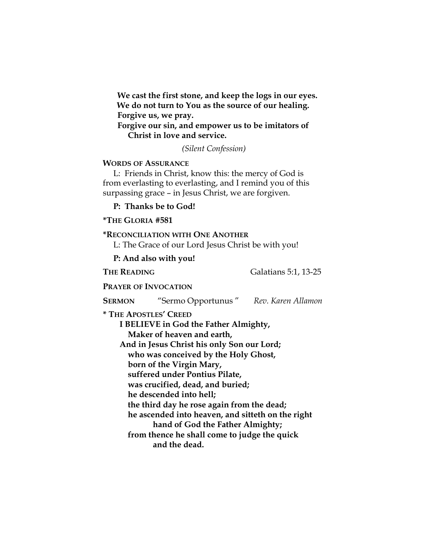**We cast the first stone, and keep the logs in our eyes. We do not turn to You as the source of our healing. Forgive us, we pray.** 

 **Forgive our sin, and empower us to be imitators of Christ in love and service.** 

*(Silent Confession)*

#### **WORDS OF ASSURANCE**

 L: Friends in Christ, know this: the mercy of God is from everlasting to everlasting, and I remind you of this surpassing grace – in Jesus Christ, we are forgiven.

**P: Thanks be to God!**

#### **\*THE GLORIA #581**

## **\*RECONCILIATION WITH ONE ANOTHER** L: The Grace of our Lord Jesus Christ be with you!  **P: And also with you!** **THE READING** Galatians 5:1, 13-25  **PRAYER OF INVOCATION SERMON** "Sermo Opportunus " *Rev. Karen Allamon* **\* THE APOSTLES' CREED I BELIEVE in God the Father Almighty, Maker of heaven and earth, And in Jesus Christ his only Son our Lord; who was conceived by the Holy Ghost, born of the Virgin Mary, suffered under Pontius Pilate, was crucified, dead, and buried; he descended into hell; the third day he rose again from the dead; he ascended into heaven, and sitteth on the right hand of God the Father Almighty; from thence he shall come to judge the quick and the dead.**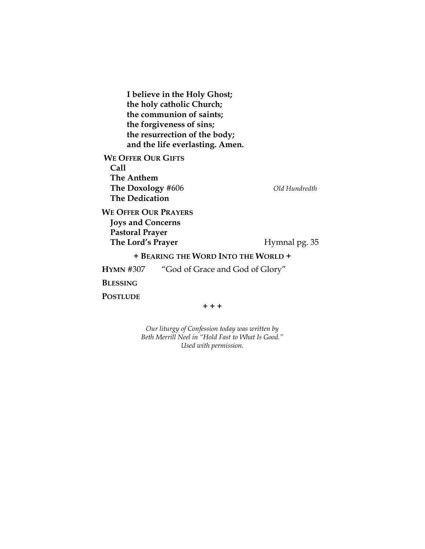**I believe in the Holy Ghost; the holy catholic Church; the communion of saints; the forgiveness of sins; the resurrection of the body; and the life everlasting. Amen. WE OFFER OUR GIFTS Call The Anthem The Doxology** #606 *Old Hundredth*  **The Dedication WE OFFER OUR PRAYERS Joys and Concerns Pastoral Prayer The Lord's Prayer** *Hymnal pg.* **35 + BEARING THE WORD INTO THE WORLD + HYMN** #307 "God of Grace and God of Glory" **BLESSING POSTLUDE + + +**

> *Our liturgy of Confession today was written by Beth Merrill Neel in "Hold Fast to What Is Good." Used with permission.*